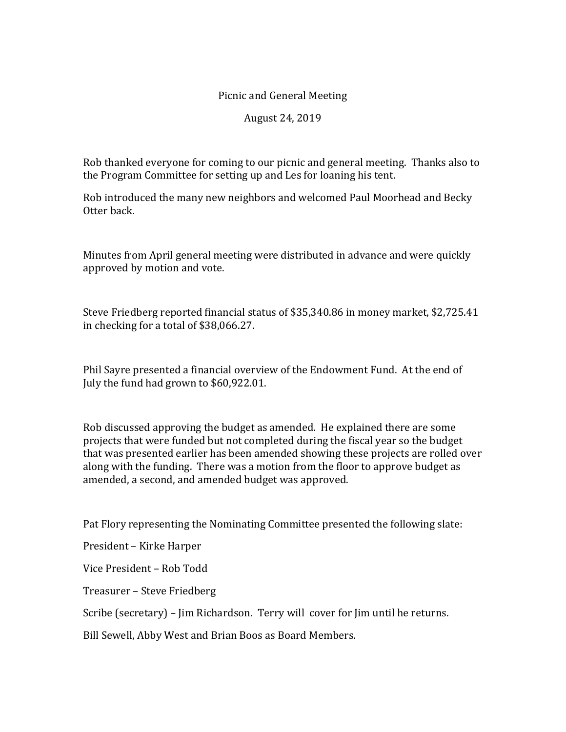## Picnic and General Meeting

## August 24, 2019

Rob thanked everyone for coming to our picnic and general meeting. Thanks also to the Program Committee for setting up and Les for loaning his tent.

Rob introduced the many new neighbors and welcomed Paul Moorhead and Becky Otter back.

Minutes from April general meeting were distributed in advance and were quickly approved by motion and vote.

Steve Friedberg reported financial status of \$35,340.86 in money market, \$2,725.41 in checking for a total of \$38,066.27.

Phil Sayre presented a financial overview of the Endowment Fund. At the end of July the fund had grown to  $$60,922.01$ .

Rob discussed approving the budget as amended. He explained there are some projects that were funded but not completed during the fiscal year so the budget that was presented earlier has been amended showing these projects are rolled over along with the funding. There was a motion from the floor to approve budget as amended, a second, and amended budget was approved.

Pat Flory representing the Nominating Committee presented the following slate:

President – Kirke Harper

Vice President – Rob Todd

Treasurer – Steve Friedberg

Scribe (secretary) – Jim Richardson. Terry will cover for Jim until he returns.

Bill Sewell, Abby West and Brian Boos as Board Members.